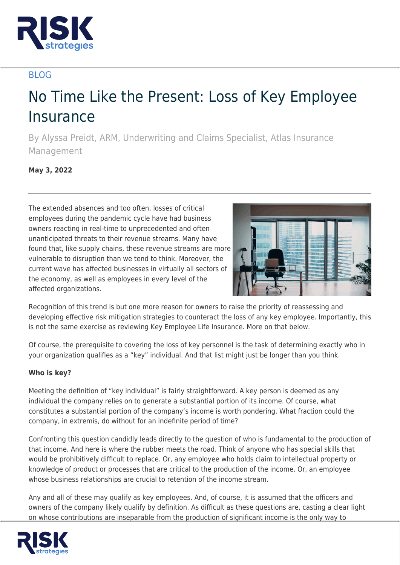

## BLOG

# No Time Like the Present: Loss of Key Employee **Insurance**

By Alyssa Preidt, ARM, Underwriting and Claims Specialist, Atlas Insurance Management

**May 3, 2022**

The extended absences and too often, losses of critical employees during the pandemic cycle have had business owners reacting in real-time to unprecedented and often unanticipated threats to their revenue streams. Many have found that, like supply chains, these revenue streams are more vulnerable to disruption than we tend to think. Moreover, the current wave has affected businesses in virtually all sectors of the economy, as well as employees in every level of the affected organizations.



Recognition of this trend is but one more reason for owners to raise the priority of reassessing and developing effective risk mitigation strategies to counteract the loss of any key employee. Importantly, this is not the same exercise as reviewing Key Employee Life Insurance. More on that below.

Of course, the prerequisite to covering the loss of key personnel is the task of determining exactly who in your organization qualifies as a "key" individual. And that list might just be longer than you think.

### **Who is key?**

Meeting the definition of "key individual" is fairly straightforward. A key person is deemed as any individual the company relies on to generate a substantial portion of its income. Of course, what constitutes a substantial portion of the company's income is worth pondering. What fraction could the company, in extremis, do without for an indefinite period of time?

Confronting this question candidly leads directly to the question of who is fundamental to the production of that income. And here is where the rubber meets the road. Think of anyone who has special skills that would be prohibitively difficult to replace. Or, any employee who holds claim to intellectual property or knowledge of product or processes that are critical to the production of the income. Or, an employee whose business relationships are crucial to retention of the income stream.

Any and all of these may qualify as key employees. And, of course, it is assumed that the officers and owners of the company likely qualify by definition. As difficult as these questions are, casting a clear light on whose contributions are inseparable from the production of significant income is the only way to

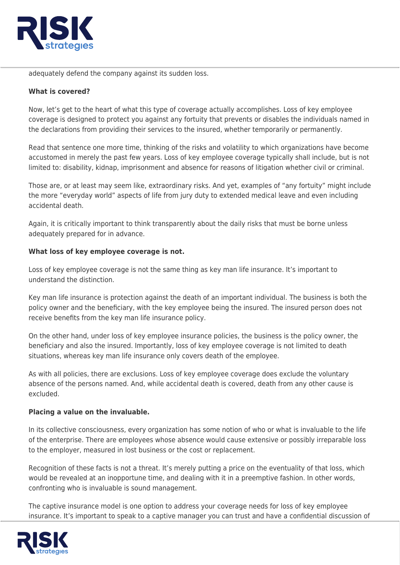

adequately defend the company against its sudden loss.

### **What is covered?**

Now, let's get to the heart of what this type of coverage actually accomplishes. Loss of key employee coverage is designed to protect you against any fortuity that prevents or disables the individuals named in the declarations from providing their services to the insured, whether temporarily or permanently.

Read that sentence one more time, thinking of the risks and volatility to which organizations have become accustomed in merely the past few years. Loss of key employee coverage typically shall include, but is not limited to: disability, kidnap, imprisonment and absence for reasons of litigation whether civil or criminal.

Those are, or at least may seem like, extraordinary risks. And yet, examples of "any fortuity" might include the more "everyday world" aspects of life from jury duty to extended medical leave and even including accidental death.

Again, it is critically important to think transparently about the daily risks that must be borne unless adequately prepared for in advance.

#### **What loss of key employee coverage is not.**

Loss of key employee coverage is not the same thing as key man life insurance. It's important to understand the distinction.

Key man life insurance is protection against the death of an important individual. The business is both the policy owner and the beneficiary, with the key employee being the insured. The insured person does not receive benefits from the key man life insurance policy.

On the other hand, under loss of key employee insurance policies, the business is the policy owner, the beneficiary and also the insured. Importantly, loss of key employee coverage is not limited to death situations, whereas key man life insurance only covers death of the employee.

As with all policies, there are exclusions. Loss of key employee coverage does exclude the voluntary absence of the persons named. And, while accidental death is covered, death from any other cause is excluded.

#### **Placing a value on the invaluable.**

In its collective consciousness, every organization has some notion of who or what is invaluable to the life of the enterprise. There are employees whose absence would cause extensive or possibly irreparable loss to the employer, measured in lost business or the cost or replacement.

Recognition of these facts is not a threat. It's merely putting a price on the eventuality of that loss, which would be revealed at an inopportune time, and dealing with it in a preemptive fashion. In other words, confronting who is invaluable is sound management.

The captive insurance model is one option to address your coverage needs for loss of key employee insurance. It's important to speak to a captive manager you can trust and have a confidential discussion of